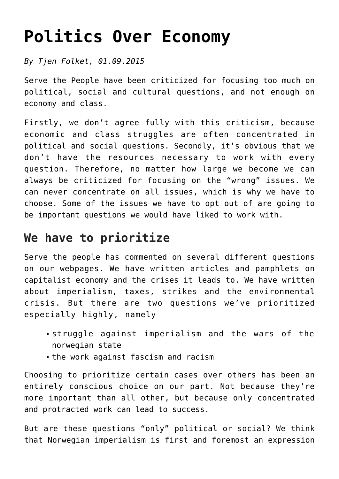# **[Politics Over Economy](https://tjen-folket.no/index.php/en/2019/08/09/politics-over-economy/)**

*By Tjen Folket, 01.09.2015*

Serve the People have been criticized for focusing too much on political, social and cultural questions, and not enough on economy and class.

Firstly, we don't agree fully with this criticism, because economic and class struggles are often concentrated in political and social questions. Secondly, it's obvious that we don't have the resources necessary to work with every question. Therefore, no matter how large we become we can always be criticized for focusing on the "wrong" issues. We can never concentrate on all issues, which is why we have to choose. Some of the issues we have to opt out of are going to be important questions we would have liked to work with.

## **We have to prioritize**

Serve the people has commented on several different questions on our webpages. We have written articles and pamphlets on capitalist economy and the crises it leads to. We have written about imperialism, taxes, strikes and the environmental crisis. But there are two questions we've prioritized especially highly, namely

- struggle against imperialism and the wars of the norwegian state
- the work against fascism and racism

Choosing to prioritize certain cases over others has been an entirely conscious choice on our part. Not because they're more important than all other, but because only concentrated and protracted work can lead to success.

But are these questions "only" political or social? We think that Norwegian imperialism is first and foremost an expression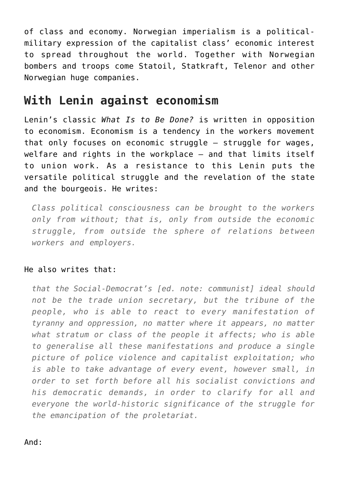of class and economy. Norwegian imperialism is a politicalmilitary expression of the capitalist class' economic interest to spread throughout the world. Together with Norwegian bombers and troops come Statoil, Statkraft, Telenor and other Norwegian huge companies.

### **With Lenin against economism**

Lenin's classic *What Is to Be Done?* is written in opposition to economism. Economism is a tendency in the workers movement that only focuses on economic struggle – struggle for wages, welfare and rights in the workplace – and that limits itself to union work. As a resistance to this Lenin puts the versatile political struggle and the revelation of the state and the bourgeois. He writes:

*Class political consciousness can be brought to the workers only from without; that is, only from outside the economic struggle, from outside the sphere of relations between workers and employers.*

#### He also writes that:

*that the Social-Democrat's [ed. note: communist] ideal should not be the trade union secretary, but the tribune of the people, who is able to react to every manifestation of tyranny and oppression, no matter where it appears, no matter what stratum or class of the people it affects; who is able to generalise all these manifestations and produce a single picture of police violence and capitalist exploitation; who is able to take advantage of every event, however small, in order to set forth before all his socialist convictions and his democratic demands, in order to clarify for all and everyone the world-historic significance of the struggle for the emancipation of the proletariat.*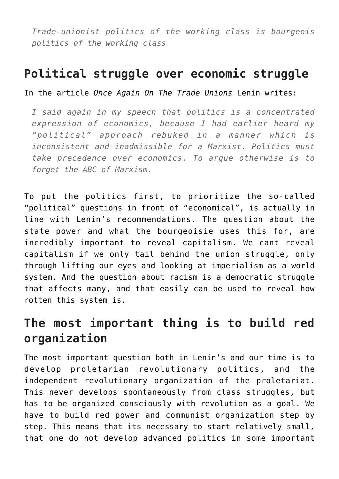*Trade-unionist politics of the working class is bourgeois politics of the working class*

### **Political struggle over economic struggle**

In the article *Once Again On The Trade Unions* Lenin writes:

*I said again in my speech that politics is a concentrated expression of economics, because I had earlier heard my "political" approach rebuked in a manner which is inconsistent and inadmissible for a Marxist. Politics must take precedence over economics. To argue otherwise is to forget the ABC of Marxism.*

To put the politics first, to prioritize the so-called "political" questions in front of "economical", is actually in line with Lenin's recommendations. The question about the state power and what the bourgeoisie uses this for, are incredibly important to reveal capitalism. We cant reveal capitalism if we only tail behind the union struggle, only through lifting our eyes and looking at imperialism as a world system. And the question about racism is a democratic struggle that affects many, and that easily can be used to reveal how rotten this system is.

### **The most important thing is to build red organization**

The most important question both in Lenin's and our time is to develop proletarian revolutionary politics, and the independent revolutionary organization of the proletariat. This never develops spontaneously from class struggles, but has to be organized consciously with revolution as a goal. We have to build red power and communist organization step by step. This means that its necessary to start relatively small, that one do not develop advanced politics in some important